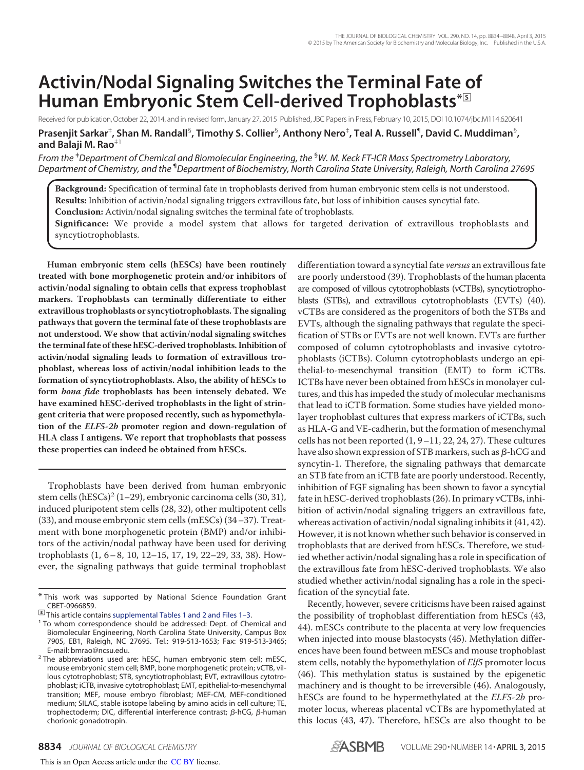# **Activin/Nodal Signaling Switches the Terminal Fate of Human Embryonic Stem Cell-derived Trophoblasts\***□**<sup>S</sup>**

Received for publication, October 22, 2014, and in revised form, January 27, 2015 Published, JBC Papers in Press, February 10, 2015, DOI 10.1074/jbc.M114.620641

Prasenjit Sarkar<sup>‡</sup>, Shan M. Randall<sup>§</sup>, Timothy S. Collier<sup>§</sup>, Anthony Nero<sup>‡</sup>, Teal A. Russell¶, David C. Muddiman<sup>§</sup>, **and Balaji M. Rao**‡1

*From the* ‡*Department of Chemical and Biomolecular Engineering, the* §*W. M. Keck FT-ICR Mass Spectrometry Laboratory, Department of Chemistry, and the* ¶*Department of Biochemistry, North Carolina State University, Raleigh, North Carolina 27695*

**Background:** Specification of terminal fate in trophoblasts derived from human embryonic stem cells is not understood. **Results:** Inhibition of activin/nodal signaling triggers extravillous fate, but loss of inhibition causes syncytial fate. **Conclusion:** Activin/nodal signaling switches the terminal fate of trophoblasts.

**Significance:** We provide a model system that allows for targeted derivation of extravillous trophoblasts and syncytiotrophoblasts.

**Human embryonic stem cells (hESCs) have been routinely treated with bone morphogenetic protein and/or inhibitors of activin/nodal signaling to obtain cells that express trophoblast markers. Trophoblasts can terminally differentiate to either extravillous trophoblasts or syncytiotrophoblasts. The signaling pathways that govern the terminal fate of these trophoblasts are not understood. We show that activin/nodal signaling switches the terminal fate of these hESC-derived trophoblasts. Inhibition of activin/nodal signaling leads to formation of extravillous trophoblast, whereas loss of activin/nodal inhibition leads to the formation of syncytiotrophoblasts. Also, the ability of hESCs to form bona fide trophoblasts has been intensely debated. We have examined hESC-derived trophoblasts in the light of stringent criteria that were proposed recently, such as hypomethylation of the ELF5-2b promoter region and down-regulation of HLA class I antigens. We report that trophoblasts that possess these properties can indeed be obtained from hESCs.**

Trophoblasts have been derived from human embryonic stem cells (hESCs)<sup>2</sup> (1-29), embryonic carcinoma cells (30, 31), induced pluripotent stem cells (28, 32), other multipotent cells (33), and mouse embryonic stem cells (mESCs) (34–37). Treatment with bone morphogenetic protein (BMP) and/or inhibitors of the activin/nodal pathway have been used for deriving trophoblasts (1, 6– 8, 10, 12–15, 17, 19, 22–29, 33, 38). However, the signaling pathways that guide terminal trophoblast differentiation toward a syncytial fate versus an extravillous fate are poorly understood (39). Trophoblasts of the human placenta are composed of villous cytotrophoblasts (vCTBs), syncytiotrophoblasts (STBs), and extravillous cytotrophoblasts (EVTs) (40). vCTBs are considered as the progenitors of both the STBs and EVTs, although the signaling pathways that regulate the specification of STBs or EVTs are not well known. EVTs are further composed of column cytotrophoblasts and invasive cytotrophoblasts (iCTBs). Column cytotrophoblasts undergo an epithelial-to-mesenchymal transition (EMT) to form iCTBs. ICTBs have never been obtained from hESCs in monolayer cultures, and this has impeded the study of molecular mechanisms that lead to iCTB formation. Some studies have yielded monolayer trophoblast cultures that express markers of iCTBs, such as HLA-G and VE-cadherin, but the formation of mesenchymal cells has not been reported  $(1, 9-11, 22, 24, 27)$ . These cultures have also shown expression of STB markers, such as  $\beta$ -hCG and syncytin-1. Therefore, the signaling pathways that demarcate an STB fate from an iCTB fate are poorly understood. Recently, inhibition of FGF signaling has been shown to favor a syncytial fate in hESC-derived trophoblasts (26). In primary vCTBs, inhibition of activin/nodal signaling triggers an extravillous fate, whereas activation of activin/nodal signaling inhibits it (41, 42). However, it is not known whether such behavior is conserved in trophoblasts that are derived from hESCs. Therefore, we studied whether activin/nodal signaling has a role in specification of the extravillous fate from hESC-derived trophoblasts. We also studied whether activin/nodal signaling has a role in the specification of the syncytial fate.

Recently, however, severe criticisms have been raised against the possibility of trophoblast differentiation from hESCs (43, 44). mESCs contribute to the placenta at very low frequencies when injected into mouse blastocysts (45). Methylation differences have been found between mESCs and mouse trophoblast stem cells, notably the hypomethylation of *Elf5* promoter locus (46). This methylation status is sustained by the epigenetic machinery and is thought to be irreversible (46). Analogously, hESCs are found to be hypermethylated at the *ELF5-2b* promoter locus, whereas placental vCTBs are hypomethylated at this locus (43, 47). Therefore, hESCs are also thought to be

This is an Open Access article under the CC BY license.



<sup>\*</sup> This work was supported by National Science Foundation Grant CBET-0966859.

<sup>□</sup>**S** This article contains supplemental Tables 1 and 2 and Files 1–3.

<sup>&</sup>lt;sup>1</sup> To whom correspondence should be addressed: Dept. of Chemical and Biomolecular Engineering, North Carolina State University, Campus Box 7905, EB1, Raleigh, NC 27695. Tel.: 919-513-1653; Fax: 919-513-3465; E-mail: bmrao@ncsu.edu.

<sup>&</sup>lt;sup>2</sup> The abbreviations used are: hESC, human embryonic stem cell; mESC, mouse embryonic stem cell; BMP, bone morphogenetic protein; vCTB, villous cytotrophoblast; STB, syncytiotrophoblast; EVT, extravillous cytotrophoblast; iCTB, invasive cytotrophoblast; EMT, epithelial-to-mesenchymal transition; MEF, mouse embryo fibroblast; MEF-CM, MEF-conditioned medium; SILAC, stable isotope labeling by amino acids in cell culture; TE, trophectoderm; DIC, differential interference contrast;  $\beta$ -hCG,  $\beta$ -human chorionic gonadotropin.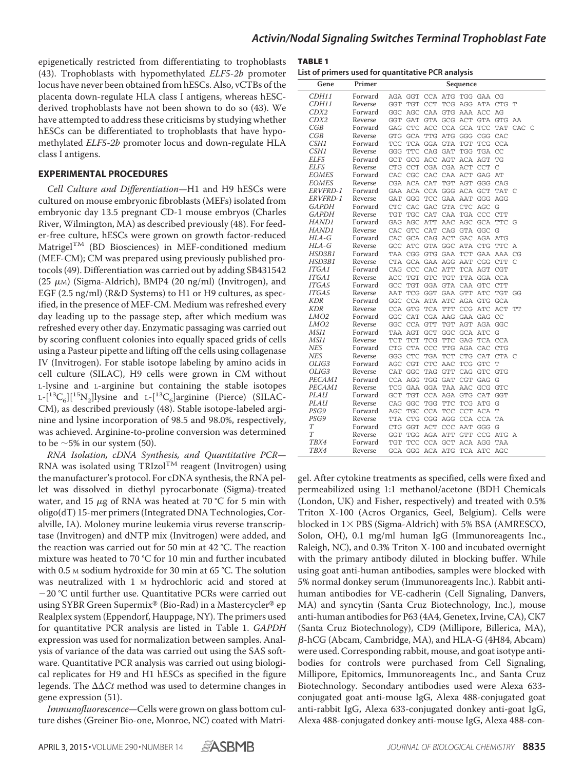epigenetically restricted from differentiating to trophoblasts (43). Trophoblasts with hypomethylated ELF5-2b promoter locus have never been obtained from hESCs. Also, vCTBs of the placenta down-regulate HLA class I antigens, whereas hESCderived trophoblasts have not been shown to do so (43). We have attempted to address these criticisms by studying whether hESCs can be differentiated to trophoblasts that have hypomethylated ELF5-2b promoter locus and down-regulate HLA class I antigens.

#### **EXPERIMENTAL PROCEDURES**

Cell Culture and Differentiation—H1 and H9 hESCs were cultured on mouse embryonic fibroblasts (MEFs) isolated from embryonic day 13.5 pregnant CD-1 mouse embryos (Charles River, Wilmington, MA) as described previously (48). For feeder-free culture, hESCs were grown on growth factor-reduced  $Matrigel<sup>TM</sup>$  (BD Biosciences) in MEF-conditioned medium (MEF-CM); CM was prepared using previously published protocols (49). Differentiation was carried out by adding SB431542  $(25 \mu)$  (Sigma-Aldrich), BMP4  $(20 \text{ ng/ml})$  (Invitrogen), and EGF (2.5 ng/ml) (R&D Systems) to H1 or H9 cultures, as specified, in the presence of MEF-CM. Medium was refreshed every day leading up to the passage step, after which medium was refreshed every other day. Enzymatic passaging was carried out by scoring confluent colonies into equally spaced grids of cells using a Pasteur pipette and lifting off the cells using collagenase IV (Invitrogen). For stable isotope labeling by amino acids in cell culture (SILAC), H9 cells were grown in CM without L-lysine and L-arginine but containing the stable isotopes L- $[^{13}C_6][^{15}N_2]$ lysine and L- $[^{13}C_6]$ arginine (Pierce) (SILAC-CM), as described previously (48). Stable isotope-labeled arginine and lysine incorporation of 98.5 and 98.0%, respectively, was achieved. Arginine-to-proline conversion was determined to be  $\sim$  5% in our system (50).

RNA Isolation, cDNA Synthesis, and Quantitative PCR— RNA was isolated using TRIzol<sup>TM</sup> reagent (Invitrogen) using the manufacturer's protocol. For cDNA synthesis, the RNA pellet was dissolved in diethyl pyrocarbonate (Sigma)-treated water, and 15  $\mu$ g of RNA was heated at 70 °C for 5 min with oligo(dT) 15-mer primers (Integrated DNA Technologies, Coralville, IA). Moloney murine leukemia virus reverse transcriptase (Invitrogen) and dNTP mix (Invitrogen) were added, and the reaction was carried out for 50 min at 42 °C. The reaction mixture was heated to 70 °C for 10 min and further incubated with 0.5 M sodium hydroxide for 30 min at 65 °C. The solution was neutralized with 1 M hydrochloric acid and stored at 20 °C until further use. Quantitative PCRs were carried out using SYBR Green Supermix® (Bio-Rad) in a Mastercycler® ep Realplex system (Eppendorf, Hauppage, NY). The primers used for quantitative PCR analysis are listed in Table 1. GAPDH expression was used for normalization between samples. Analysis of variance of the data was carried out using the SAS software. Quantitative PCR analysis was carried out using biological replicates for H9 and H1 hESCs as specified in the figure legends. The  $\Delta\Delta Ct$  method was used to determine changes in gene expression (51).

Immunofluorescence—Cells were grown on glass bottom culture dishes (Greiner Bio-one, Monroe, NC) coated with Matri-

| <b>TABLE 1</b> |  |
|----------------|--|
|----------------|--|

**List of primers used for quantitative PCR analysis**

| Gene             | Primer  | Sequence                  |  |  |  |  |                                   |  |  |  |
|------------------|---------|---------------------------|--|--|--|--|-----------------------------------|--|--|--|
| CDH11            | Forward |                           |  |  |  |  | AGA GGT CCA ATG TGG GAA CG        |  |  |  |
| <i>CDH11</i>     | Reverse |                           |  |  |  |  | GGT TGT CCT TCG AGG ATA CTG T     |  |  |  |
| CDX2             | Forward |                           |  |  |  |  | GGC AGC CAA GTG AAA ACC AG        |  |  |  |
| CDX2             | Reverse |                           |  |  |  |  | GGT GAT GTA GCG ACT GTA GTG AA    |  |  |  |
| CGB              | Forward |                           |  |  |  |  | GAG CTC ACC CCA GCA TCC TAT CAC C |  |  |  |
| CGB              | Reverse |                           |  |  |  |  | GTG GCA TTG ATG GGG CGG CAC       |  |  |  |
| CSH1             | Forward |                           |  |  |  |  | TCC TCA GGA GTA TGT TCG CCA       |  |  |  |
| CSH1             | Reverse |                           |  |  |  |  | GGG TTC CAG GAT TGG TGA CC        |  |  |  |
| ELF5             | Forward |                           |  |  |  |  | GCT GCG ACC AGT ACA AGT TG        |  |  |  |
| ELF5             | Reverse |                           |  |  |  |  | CTG CCT CGA CGA ACT CCT C         |  |  |  |
| <b>EOMES</b>     | Forward |                           |  |  |  |  | CAC CGC CAC CAA ACT GAG AT        |  |  |  |
| <b>EOMES</b>     | Reverse |                           |  |  |  |  | CGA ACA CAT TGT AGT GGG CAG       |  |  |  |
| <i>ERVFRD-1</i>  | Forward |                           |  |  |  |  | GAA ACA CCA GGG ACA GCT TAT C     |  |  |  |
| <i>ERVFRD-1</i>  | Reverse |                           |  |  |  |  | GAT GGG TCC GAA AAT GGG AGG       |  |  |  |
| GAPDH            | Forward | CTC CAC GAC GTA CTC AGC G |  |  |  |  |                                   |  |  |  |
| GAPDH            | Reverse |                           |  |  |  |  | TGT TGC CAT CAA TGA CCC CTT       |  |  |  |
| <i>HAND1</i>     | Forward |                           |  |  |  |  | GAG AGC ATT AAC AGC GCA TTC G     |  |  |  |
| HAND1            | Reverse |                           |  |  |  |  | CAC GTC CAT CAG GTA GGC G         |  |  |  |
| HLA-G            | Forward |                           |  |  |  |  | CAC GCA CAG ACT GAC AGA ATG       |  |  |  |
| HLA-G            | Reverse |                           |  |  |  |  | GCC ATC GTA GGC ATA CTG TTC A     |  |  |  |
| <i>HSD3B1</i>    | Forward |                           |  |  |  |  | TAA CGG GTG GAA TCT GAA AAA CG    |  |  |  |
| HSD3B1           | Reverse |                           |  |  |  |  | CTA GCA GAA AGG AAT CGG CTT C     |  |  |  |
| ITGA1            | Forward |                           |  |  |  |  | CAG CCC CAC ATT TCA AGT CGT       |  |  |  |
| ITGA1            | Reverse |                           |  |  |  |  | ACC TGT GTC TGT TTA GGA CCA       |  |  |  |
| ITGA5            | Forward |                           |  |  |  |  | GCC TGT GGA GTA CAA GTC CTT       |  |  |  |
| ITGA5            | Reverse |                           |  |  |  |  | AAT TCG GGT GAA GTT ATC TGT GG    |  |  |  |
| <b>KDR</b>       | Forward |                           |  |  |  |  | GGC CCA ATA ATC AGA GTG GCA       |  |  |  |
| <b>KDR</b>       | Reverse |                           |  |  |  |  | CCA GTG TCA TTT CCG ATC ACT TT    |  |  |  |
| LMO <sub>2</sub> | Forward |                           |  |  |  |  | GGC CAT CGA AAG GAA GAG CC        |  |  |  |
| LMO <sub>2</sub> | Reverse |                           |  |  |  |  | GGC CCA GTT TGT AGT AGA GGC       |  |  |  |
| <i>MSI1</i>      | Forward |                           |  |  |  |  | TAA AGT GCT GGC GCA ATC G         |  |  |  |
| MSI1             | Reverse |                           |  |  |  |  | TCT TCT TCG TTC GAG TCA CCA       |  |  |  |
| NES              | Forward |                           |  |  |  |  | CTG CTA CCC TTG AGA CAC CTG       |  |  |  |
| <b>NES</b>       | Reverse |                           |  |  |  |  | GGG CTC TGA TCT CTG CAT CTA C     |  |  |  |
| OLIG3            | Forward |                           |  |  |  |  | AGC CGT CTC AAC TCG GTC T         |  |  |  |
| <i>OLIG3</i>     | Reverse |                           |  |  |  |  | CAT GGC TAG GTT CAG GTC GTG       |  |  |  |
| <i>PECAM1</i>    | Forward |                           |  |  |  |  | CCA AGG TGG GAT CGT GAG G         |  |  |  |
| <i>PECAM1</i>    | Reverse |                           |  |  |  |  | TCG GAA GGA TAA AAC GCG GTC       |  |  |  |
| PLAU             | Forward |                           |  |  |  |  | GCT TGT CCA AGA GTG CAT GGT       |  |  |  |
| PLAU             | Reverse |                           |  |  |  |  | CAG GGC TGG TTC TCG ATG G         |  |  |  |
| PSG9             | Forward |                           |  |  |  |  | AGC TGC CCA TCC CCT ACA T         |  |  |  |
| PSG9             | Reverse |                           |  |  |  |  | TTA CTG CGG AGG CCA CCA TA        |  |  |  |
| T                | Forward |                           |  |  |  |  | CTG GGT ACT CCC AAT GGG G         |  |  |  |
| T                | Reverse |                           |  |  |  |  | GGT TGG AGA ATT GTT CCG ATG A     |  |  |  |
| TBX4             | Forward |                           |  |  |  |  | TGT TCC CCA GCT ACA AGG TAA       |  |  |  |
| TBX4             | Reverse |                           |  |  |  |  | GCA GGG ACA ATG TCA ATC AGC       |  |  |  |

gel. After cytokine treatments as specified, cells were fixed and permeabilized using 1:1 methanol/acetone (BDH Chemicals (London, UK) and Fisher, respectively) and treated with 0.5% Triton X-100 (Acros Organics, Geel, Belgium). Cells were blocked in  $1 \times$  PBS (Sigma-Aldrich) with 5% BSA (AMRESCO, Solon, OH), 0.1 mg/ml human IgG (Immunoreagents Inc., Raleigh, NC), and 0.3% Triton X-100 and incubated overnight with the primary antibody diluted in blocking buffer. While using goat anti-human antibodies, samples were blocked with 5% normal donkey serum (Immunoreagents Inc.). Rabbit antihuman antibodies for VE-cadherin (Cell Signaling, Danvers, MA) and syncytin (Santa Cruz Biotechnology, Inc.), mouse anti-human antibodies for P63 (4A4, Genetex, Irvine, CA), CK7 (Santa Cruz Biotechnology), CD9 (Millipore, Billerica, MA), β-hCG (Abcam, Cambridge, MA), and HLA-G (4H84, Abcam) were used. Corresponding rabbit, mouse, and goat isotype antibodies for controls were purchased from Cell Signaling, Millipore, Epitomics, Immunoreagents Inc., and Santa Cruz Biotechnology. Secondary antibodies used were Alexa 633 conjugated goat anti-mouse IgG, Alexa 488-conjugated goat anti-rabbit IgG, Alexa 633-conjugated donkey anti-goat IgG, Alexa 488-conjugated donkey anti-mouse IgG, Alexa 488-con-

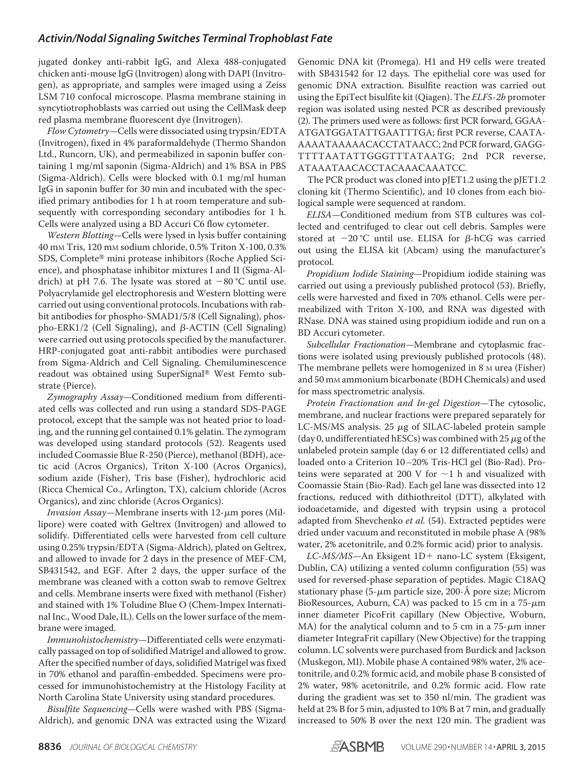jugated donkey anti-rabbit IgG, and Alexa 488-conjugated chicken anti-mouse IgG (Invitrogen) along with DAPI (Invitrogen), as appropriate, and samples were imaged using a Zeiss LSM 710 confocal microscope. Plasma membrane staining in syncytiotrophoblasts was carried out using the CellMask deep red plasma membrane fluorescent dye (Invitrogen).

Flow Cytometry—Cells were dissociated using trypsin/EDTA (Invitrogen), fixed in 4% paraformaldehyde (Thermo Shandon Ltd., Runcorn, UK), and permeabilized in saponin buffer containing 1 mg/ml saponin (Sigma-Aldrich) and 1% BSA in PBS (Sigma-Aldrich). Cells were blocked with 0.1 mg/ml human IgG in saponin buffer for 30 min and incubated with the specified primary antibodies for 1 h at room temperature and subsequently with corresponding secondary antibodies for 1 h. Cells were analyzed using a BD Accuri C6 flow cytometer.

Western Blotting—Cells were lysed in lysis buffer containing 40 mM Tris, 120 mM sodium chloride, 0.5% Triton X-100, 0.3% SDS, Complete® mini protease inhibitors (Roche Applied Science), and phosphatase inhibitor mixtures I and II (Sigma-Aldrich) at pH 7.6. The lysate was stored at  $-80$  °C until use. Polyacrylamide gel electrophoresis and Western blotting were carried out using conventional protocols. Incubations with rabbit antibodies for phospho-SMAD1/5/8 (Cell Signaling), phos $pho$ -ERK1/2 (Cell Signaling), and  $\beta$ -ACTIN (Cell Signaling) were carried out using protocols specified by the manufacturer. HRP-conjugated goat anti-rabbit antibodies were purchased from Sigma-Aldrich and Cell Signaling. Chemiluminescence readout was obtained using SuperSignal® West Femto substrate (Pierce).

Zymography Assay—Conditioned medium from differentiated cells was collected and run using a standard SDS-PAGE protocol, except that the sample was not heated prior to loading, and the running gel contained 0.1% gelatin. The zymogram was developed using standard protocols (52). Reagents used included Coomassie Blue R-250 (Pierce), methanol (BDH), acetic acid (Acros Organics), Triton X-100 (Acros Organics), sodium azide (Fisher), Tris base (Fisher), hydrochloric acid (Ricca Chemical Co., Arlington, TX), calcium chloride (Acros Organics), and zinc chloride (Acros Organics).

*Invasion Assay*—Membrane inserts with  $12$ - $\mu$ m pores (Millipore) were coated with Geltrex (Invitrogen) and allowed to solidify. Differentiated cells were harvested from cell culture using 0.25% trypsin/EDTA (Sigma-Aldrich), plated on Geltrex, and allowed to invade for 2 days in the presence of MEF-CM, SB431542, and EGF. After 2 days, the upper surface of the membrane was cleaned with a cotton swab to remove Geltrex and cells. Membrane inserts were fixed with methanol (Fisher) and stained with 1% Toludine Blue O (Chem-Impex Internatinal Inc., Wood Dale, IL). Cells on the lower surface of the membrane were imaged.

Immunohistochemistry—Differentiated cells were enzymatically passaged on top of solidified Matrigel and allowed to grow. After the specified number of days, solidified Matrigel was fixed in 70% ethanol and paraffin-embedded. Specimens were processed for immunohistochemistry at the Histology Facility at North Carolina State University using standard procedures.

Bisulfite Sequencing—Cells were washed with PBS (Sigma-Aldrich), and genomic DNA was extracted using the Wizard Genomic DNA kit (Promega). H1 and H9 cells were treated with SB431542 for 12 days. The epithelial core was used for genomic DNA extraction. Bisulfite reaction was carried out using the EpiTect bisulfite kit (Qiagen). The *ELF5-2b* promoter region was isolated using nested PCR as described previously (2). The primers used were as follows: first PCR forward, GGAA-ATGATGGATATTGAATTTGA; first PCR reverse, CAATA-AAAATAAAAACACCTATAACC; 2nd PCR forward, GAGG-TTTTAATATTGGGTTTATAATG; 2nd PCR reverse, ATAAATAACACCTACAAACAAATCC.

The PCR product was cloned into pJET1.2 using the pJET1.2 cloning kit (Thermo Scientific), and 10 clones from each biological sample were sequenced at random.

ELISA—Conditioned medium from STB cultures was collected and centrifuged to clear out cell debris. Samples were stored at  $-20$  °C until use. ELISA for  $\beta$ -hCG was carried out using the ELISA kit (Abcam) using the manufacturer's protocol.

Propidium Iodide Staining—Propidium iodide staining was carried out using a previously published protocol (53). Briefly, cells were harvested and fixed in 70% ethanol. Cells were permeabilized with Triton X-100, and RNA was digested with RNase. DNA was stained using propidium iodide and run on a BD Accuri cytometer.

Subcellular Fractionation—Membrane and cytoplasmic fractions were isolated using previously published protocols (48). The membrane pellets were homogenized in 8 M urea (Fisher) and 50 mM ammonium bicarbonate (BDH Chemicals) and used for mass spectrometric analysis.

Protein Fractionation and In-gel Digestion—The cytosolic, membrane, and nuclear fractions were prepared separately for LC-MS/MS analysis. 25  $\mu$ g of SILAC-labeled protein sample (day 0, undifferentiated hESCs) was combined with 25  $\mu$ g of the unlabeled protein sample (day 6 or 12 differentiated cells) and loaded onto a Criterion 10–20% Tris-HCl gel (Bio-Rad). Proteins were separated at 200 V for  $\sim$ 1 h and visualized with Coomassie Stain (Bio-Rad). Each gel lane was dissected into 12 fractions, reduced with dithiothreitol (DTT), alkylated with iodoacetamide, and digested with trypsin using a protocol adapted from Shevchenko et al. (54). Extracted peptides were dried under vacuum and reconstituted in mobile phase A (98% water, 2% acetonitrile, and 0.2% formic acid) prior to analysis.

 $LC$ -MS/MS-An Eksigent  $1D+$  nano-LC system (Eksigent, Dublin, CA) utilizing a vented column configuration (55) was used for reversed-phase separation of peptides. Magic C18AQ stationary phase  $(5-\mu m)$  particle size, 200-Å pore size; Microm BioResources, Auburn, CA) was packed to 15 cm in a  $75-\mu m$ inner diameter PicoFrit capillary (New Objective, Woburn, MA) for the analytical column and to 5 cm in a  $75-\mu m$  inner diameter IntegraFrit capillary (New Objective) for the trapping column. LC solvents were purchased from Burdick and Jackson (Muskegon, MI). Mobile phase A contained 98% water, 2% acetonitrile, and 0.2% formic acid, and mobile phase B consisted of 2% water, 98% acetonitrile, and 0.2% formic acid. Flow rate during the gradient was set to 350 nl/min. The gradient was held at 2% B for 5 min, adjusted to 10% B at 7 min, and gradually increased to 50% B over the next 120 min. The gradient was

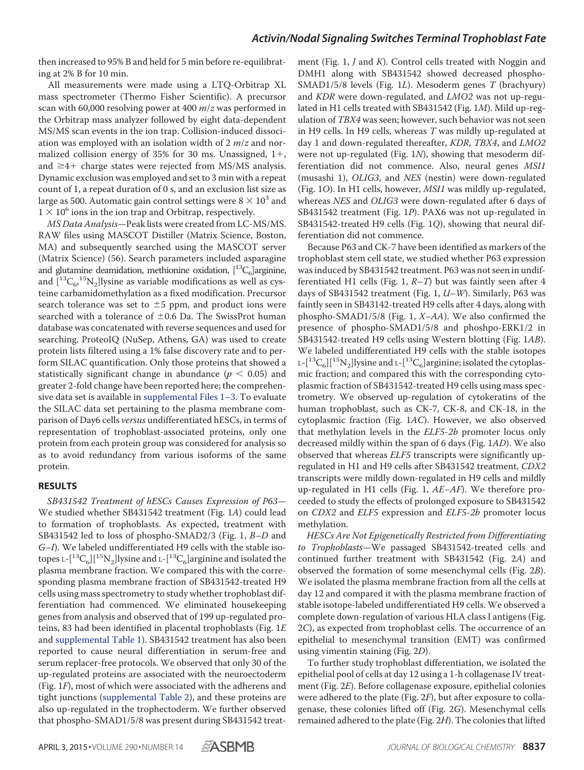then increased to 95% B and held for 5 min before re-equilibrating at 2% B for 10 min.

All measurements were made using a LTQ-Orbitrap XL mass spectrometer (Thermo Fisher Scientific). A precursor scan with 60,000 resolving power at 400  $m/z$  was performed in the Orbitrap mass analyzer followed by eight data-dependent MS/MS scan events in the ion trap. Collision-induced dissociation was employed with an isolation width of  $2 m/z$  and normalized collision energy of 35% for 30 ms. Unassigned,  $1+$ , and  $\geq 4$  charge states were rejected from MS/MS analysis. Dynamic exclusion was employed and set to 3 min with a repeat count of 1, a repeat duration of 0 s, and an exclusion list size as large as 500. Automatic gain control settings were  $8 \times 10^3$  and  $1 \times 10^6$  ions in the ion trap and Orbitrap, respectively.

MS Data Analysis—Peak lists were created from LC-MS/MS. RAW files using MASCOT Distiller (Matrix Science, Boston, MA) and subsequently searched using the MASCOT server (Matrix Science) (56). Search parameters included asparagine and glutamine deamidation, methionine oxidation,  $[^{13}C_6]$ arginine, and  $\left[ {}^{13}C_{6}{}^{,15}N_{2} \right]$ lysine as variable modifications as well as cysteine carbamidomethylation as a fixed modification. Precursor search tolerance was set to  $\pm 5$  ppm, and product ions were searched with a tolerance of  $\pm 0.6$  Da. The SwissProt human database was concatenated with reverse sequences and used for searching. ProteoIQ (NuSep, Athens, GA) was used to create protein lists filtered using a 1% false discovery rate and to perform SILAC quantification. Only those proteins that showed a statistically significant change in abundance ( $p < 0.05$ ) and greater 2-fold change have been reported here; the comprehensive data set is available in supplemental Files 1–3. To evaluate the SILAC data set pertaining to the plasma membrane comparison of Day6 cells versus undifferentiated hESCs, in terms of representation of trophoblast-associated proteins, only one protein from each protein group was considered for analysis so as to avoid redundancy from various isoforms of the same protein.

#### **RESULTS**

SB431542 Treatment of hESCs Causes Expression of P63— We studied whether SB431542 treatment (Fig. 1A) could lead to formation of trophoblasts. As expected, treatment with SB431542 led to loss of phospho-SMAD2/3 (Fig. 1, B–D and G–I). We labeled undifferentiated H9 cells with the stable isotopes L- $\rm [^{13}C_6][^{15}N_2]$ lysine and L- $\rm [^{13}C_6]$ arginine and isolated the plasma membrane fraction. We compared this with the corresponding plasma membrane fraction of SB431542-treated H9 cells using mass spectrometry to study whether trophoblast differentiation had commenced. We eliminated housekeeping genes from analysis and observed that of 199 up-regulated proteins, 83 had been identified in placental trophoblasts (Fig. 1E and supplemental Table 1). SB431542 treatment has also been reported to cause neural differentiation in serum-free and serum replacer-free protocols. We observed that only 30 of the up-regulated proteins are associated with the neuroectoderm (Fig. 1F), most of which were associated with the adherens and tight junctions (supplemental Table 2), and these proteins are also up-regulated in the trophectoderm. We further observed that phospho-SMAD1/5/8 was present during SB431542 treatment (Fig.  $1, I$  and  $K$ ). Control cells treated with Noggin and DMH1 along with SB431542 showed decreased phospho-SMAD1/5/8 levels (Fig. 1L). Mesoderm genes T (brachyury) and KDR were down-regulated, and LMO2 was not up-regulated in H1 cells treated with SB431542 (Fig. 1M). Mild up-regulation of TBX4 was seen; however, such behavior was not seen in H9 cells. In H9 cells, whereas  $T$  was mildly up-regulated at day 1 and down-regulated thereafter, KDR, TBX4, and LMO2 were not up-regulated (Fig. 1N), showing that mesoderm differentiation did not commence. Also, neural genes MSI1 (musashi 1), OLIG3, and NES (nestin) were down-regulated (Fig. 1O). In H1 cells, however, MSI1 was mildly up-regulated, whereas NES and OLIG3 were down-regulated after 6 days of SB431542 treatment (Fig. 1P). PAX6 was not up-regulated in SB431542-treated H9 cells (Fig. 1Q), showing that neural differentiation did not commence.

Because P63 and CK-7 have been identified as markers of the trophoblast stem cell state, we studied whether P63 expression was induced by SB431542 treatment. P63 was not seen in undifferentiated H1 cells (Fig. 1,  $R-T$ ) but was faintly seen after 4 days of SB431542 treatment (Fig. 1,  $U-W$ ). Similarly, P63 was faintly seen in SB43142-treated H9 cells after 4 days, along with phospho-SMAD1/5/8 (Fig. 1, X–AA). We also confirmed the presence of phospho-SMAD1/5/8 and phoshpo-ERK1/2 in SB431542-treated H9 cells using Western blotting (Fig. 1AB). We labeled undifferentiated H9 cells with the stable isotopes L- $[^{13}\mathrm{C}_6][^{15}\mathrm{N}_2]$ lysine and L- $[^{13}\mathrm{C}_6]$ arginine; isolated the cytoplasmic fraction; and compared this with the corresponding cytoplasmic fraction of SB431542-treated H9 cells using mass spectrometry. We observed up-regulation of cytokeratins of the human trophoblast, such as CK-7, CK-8, and CK-18, in the cytoplasmic fraction (Fig. 1AC). However, we also observed that methylation levels in the ELF5-2b promoter locus only decreased mildly within the span of 6 days (Fig. 1AD). We also observed that whereas ELF5 transcripts were significantly upregulated in H1 and H9 cells after SB431542 treatment, CDX2 transcripts were mildly down-regulated in H9 cells and mildly up-regulated in H1 cells (Fig. 1, AE–AF). We therefore proceeded to study the effects of prolonged exposure to SB431542 on CDX2 and ELF5 expression and ELF5-2b promoter locus methylation.

HESCs Are Not Epigenetically Restricted from Differentiating to Trophoblasts—We passaged SB431542-treated cells and continued further treatment with SB431542 (Fig. 2A) and observed the formation of some mesenchymal cells (Fig. 2B). We isolated the plasma membrane fraction from all the cells at day 12 and compared it with the plasma membrane fraction of stable isotope-labeled undifferentiated H9 cells. We observed a complete down-regulation of various HLA class I antigens (Fig. 2C), as expected from trophoblast cells. The occurrence of an epithelial to mesenchymal transition (EMT) was confirmed using vimentin staining (Fig. 2D).

To further study trophoblast differentiation, we isolated the epithelial pool of cells at day 12 using a 1-h collagenase IV treatment (Fig. 2E). Before collagenase exposure, epithelial colonies were adhered to the plate (Fig. 2F), but after exposure to collagenase, these colonies lifted off (Fig. 2G). Mesenchymal cells remained adhered to the plate (Fig. 2H). The colonies that lifted

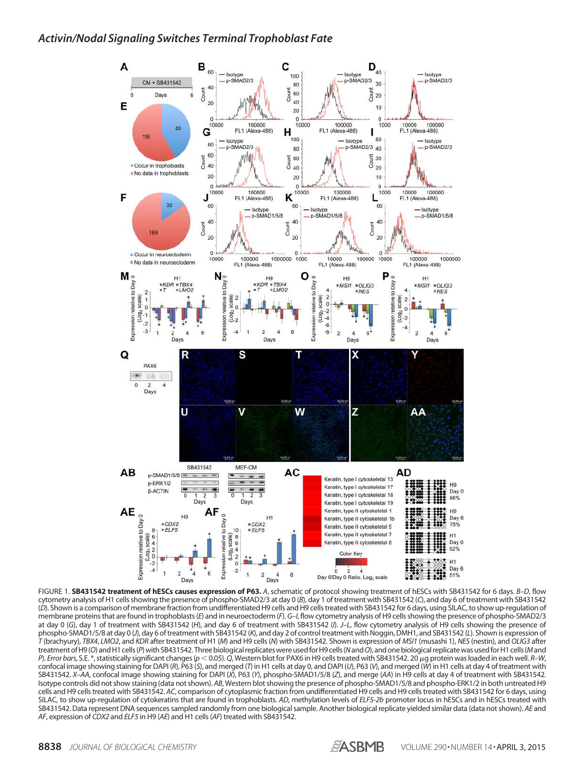

FIGURE 1. **SB431542 treatment of hESCs causes expression of P63.** *A*, schematic of protocol showing treatment of hESCs with SB431542 for 6 days. *B*–*D*, flow cytometry analysis of H1 cells showing the presence of phospho-SMAD2/3 at day 0 (*B*), day 1 of treatment with SB431542 (*C*), and day 6 of treatment with SB431542 (*D*). Shown is a comparison of membrane fraction from undifferentiated H9 cells and H9 cells treated with SB431542 for 6 days, using SILAC, to show up-regulation of membrane proteins that are found in trophoblasts (*E*) and in neuroectoderm (*F*).*G*–*I*, flow cytometry analysis of H9 cells showing the presence of phospho-SMAD2/3 at day 0 (*G*), day 1 of treatment with SB431542 (*H*), and day 6 of treatment with SB431542 (*I*). *J*–*L*, flow cytometry analysis of H9 cells showing the presence of phospho-SMAD1/5/8 at day 0 (*J*), day 6 of treatment with SB431542 (*K*), and day 2 of control treatment with Noggin, DMH1, and SB431542 (*L*). Shown is expression of .<br>T (brachyury), TBX4, LMO2, and KDR after treatment of H1 (M) and H9 cells (M) with SB431542. Shown is expression of MS/1 (musashi 1), NES (nestin), and OLIG3 after treatment of H9 (*O*) and H1 cells (*P*) with SB431542. Three biological replicates were used for H9 cells (*N*and*O*), and one biological replicate was used for H1 cells (*M*and *P*). *Error bars*, S.E. \*, statistically significant changes (*p* 0.05).*Q*, Western blot for PAX6 in H9 cells treated with SB431542. 20g protein was loaded in each well. *R*–*W*, confocal image showing staining for DAPI (*R*), P63 (*S*), and merged (*T*) in H1 cells at day 0, and DAPI (*U*), P63 (*V*), and merged (*W*) in H1 cells at day 4 of treatment with SB431542. *X–AA*, confocal image showing staining for DAPI (*X*), P63 (*Y*), phospho-SMAD1/5/8 (*Z*), and merge (*AA*) in H9 cells at day 4 of treatment with SB431542. Isotype controls did not show staining (data not shown). *AB*, Western blot showing the presence of phospho-SMAD1/5/8 and phospho-ERK1/2 in both untreated H9 cells and H9 cells treated with SB431542. *AC*, comparison of cytoplasmic fraction from undifferentiated H9 cells and H9 cells treated with SB431542 for 6 days, using SILAC, to show up-regulation of cytokeratins that are found in trophoblasts. *AD*, methylation levels of *ELF5*-*2b* promoter locus in hESCs and in hESCs treated with SB431542. Data represent DNA sequences sampled randomly from one biological sample. Another biological replicate yielded similar data (data not shown). *AE* and *AF*, expression of *CDX2* and *ELF5* in H9 (*AE*) and H1 cells (*AF*) treated with SB431542.

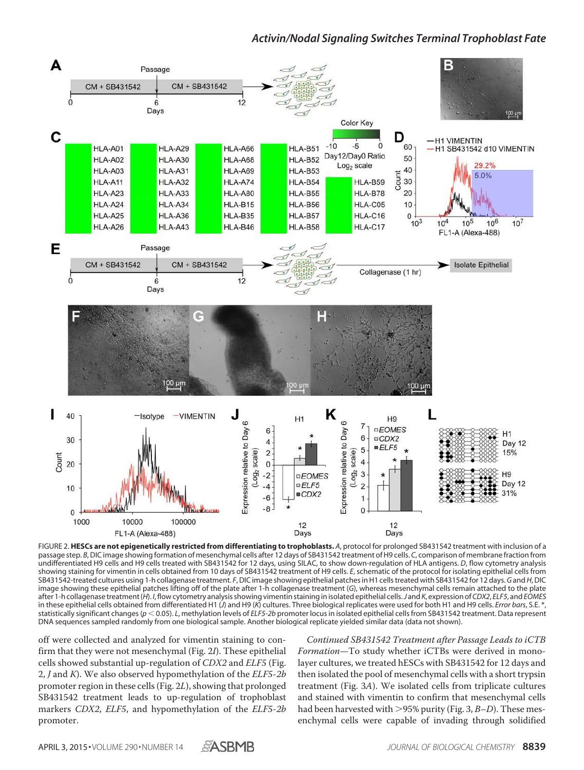

FIGURE 2. **HESCs are not epigenetically restricted from differentiating to trophoblasts.** *A*, protocol for prolonged SB431542 treatment with inclusion of a passage step. *B*, DIC image showing formation of mesenchymal cells after 12 days of SB431542 treatment of H9 cells. *C*, comparison of membrane fraction from undifferentiated H9 cells and H9 cells treated with SB431542 for 12 days, using SILAC, to show down-regulation of HLA antigens. *D*, flow cytometry analysis showing staining for vimentin in cells obtained from 10 days of SB431542 treatment of H9 cells. *E*, schematic of the protocol for isolating epithelial cells from SB431542-treated cultures using 1-h collagenase treatment. *F*, DIC image showing epithelial patches in H1 cells treated with SB431542 for 12 days.*G*and*H*, DIC image showing these epithelial patches lifting off of the plate after 1-h collagenase treatment (*G*), whereas mesenchymal cells remain attached to the plate after 1-h collagenase treatment (*H*). *I*, flow cytometry analysis showing vimentin staining in isolated epithelial cells.*J* and*K*, expression of *CDX2*, *ELF5*, and*EOMES* in these epithelial cells obtained from differentiated H1 (*J*) and H9 (*K*) cultures. Three biological replicates were used for both H1 and H9 cells. *Error bars*, S.E. \*, statistically significant changes (*p* 0.05). *L*, methylation levels of *ELF5*-*2b* promoter locus in isolated epithelial cells from SB431542 treatment. Data represent DNA sequences sampled randomly from one biological sample. Another biological replicate yielded similar data (data not shown).

off were collected and analyzed for vimentin staining to confirm that they were not mesenchymal (Fig. 2I). These epithelial cells showed substantial up-regulation of CDX2 and ELF5 (Fig. 2, *J* and *K*). We also observed hypomethylation of the *ELF5-2b* promoter region in these cells (Fig. 2L), showing that prolonged SB431542 treatment leads to up-regulation of trophoblast markers CDX2, ELF5, and hypomethylation of the ELF5-2b promoter.

Continued SB431542 Treatment after Passage Leads to iCTB Formation—To study whether iCTBs were derived in monolayer cultures, we treated hESCs with SB431542 for 12 days and then isolated the pool of mesenchymal cells with a short trypsin treatment (Fig. 3A). We isolated cells from triplicate cultures and stained with vimentin to confirm that mesenchymal cells had been harvested with  $>$ 95% purity (Fig. 3, B-D). These mesenchymal cells were capable of invading through solidified

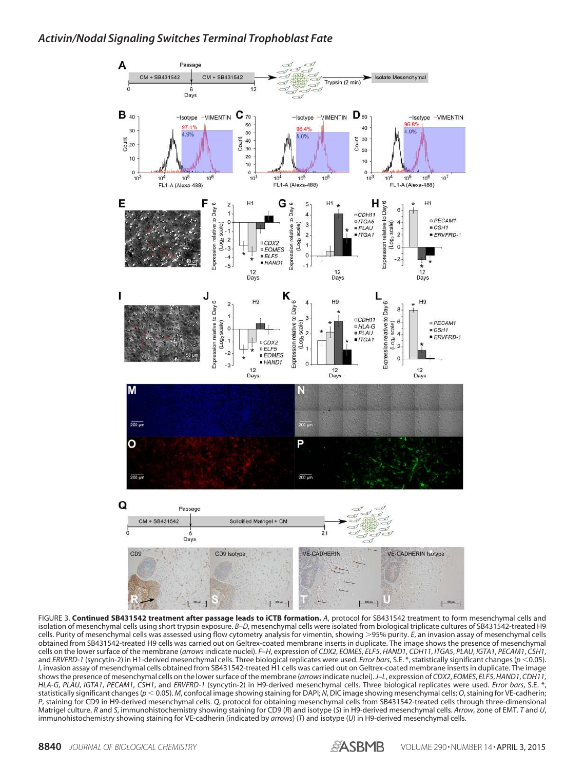

FIGURE 3. **Continued SB431542 treatment after passage leads to iCTB formation.** *A*, protocol for SB431542 treatment to form mesenchymal cells and isolation of mesenchymal cells using short trypsin exposure. *B*–*D*, mesenchymal cells were isolated from biological triplicate cultures of SB431542-treated H9 cells. Purity of mesenchymal cells was assessed using flow cytometry analysis for vimentin, showing >95% purity. *E*, an invasion assay of mesenchymal cells obtained from SB431542-treated H9 cells was carried out on Geltrex-coated membrane inserts in duplicate. The image shows the presence of mesenchymal cells on the lower surface of the membrane (arrows indicate nuclei). F-H, expression of CDX2, EOMES, ELF5, HAND1, CDH11, ITGA5, PLAU, IGTA1, PECAM1, CSH1, and *ERVFRD-1* (syncytin-2) in H1-derived mesenchymal cells. Three biological replicates were used. *Error bars*, S.E. \*, statistically significant changes (*p* 0.05). *I*, invasion assay of mesenchymal cells obtained from SB431542-treated H1 cells was carried out on Geltrex-coated membrane inserts in duplicate. The image shows the presence of mesenchymal cells on the lower surface of the membrane (*arrows*indicate nuclei).*J*–*L*, expression of *CDX2*, *EOMES*, *ELF5*, *HAND1*, *CDH11*, *HLA-G*, *PLAU*, *IGTA1*, *PECAM1*, *CSH1*, and *ERVFRD-1* (syncytin-2) in H9-derived mesenchymal cells. Three biological replicates were used. *Error bars*, S.E. \*, statistically significant changes (*p* 0.05). *M*, confocal image showing staining for DAPI; *N*, DIC image showing mesenchymal cells; *O*, staining for VE-cadherin; *P*, staining for CD9 in H9-derived mesenchymal cells. *Q*, protocol for obtaining mesenchymal cells from SB431542-treated cells through three-dimensional Matrigel culture. *R* and *S*, immunohistochemistry showing staining for CD9 (*R*) and isotype (*S*) in H9-derived mesenchymal cells. *Arrow*, zone of EMT. *T* and *U*, immunohistochemistry showing staining for VE-cadherin (indicated by *arrows*) (*T*) and isotype (*U*) in H9-derived mesenchymal cells.

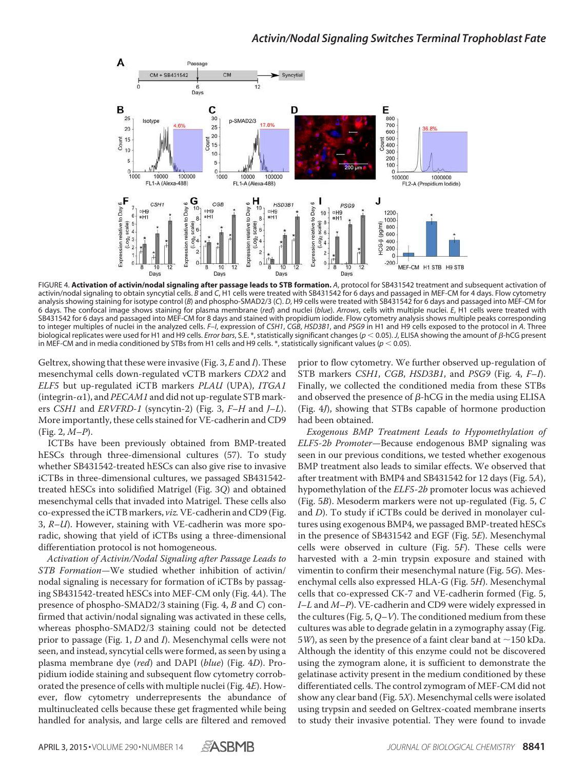

FIGURE 4. **Activation of activin/nodal signaling after passage leads to STB formation.** *A*, protocol for SB431542 treatment and subsequent activation of activin/nodal signaling to obtain syncytial cells. *B* and *C*, H1 cells were treated with SB431542 for 6 days and passaged in MEF-CM for 4 days. Flow cytometry analysis showing staining for isotype control (*B*) and phospho-SMAD2/3 (*C*). *D*, H9 cells were treated with SB431542 for 6 days and passaged into MEF-CM for 6 days. The confocal image shows staining for plasma membrane (*red*) and nuclei (*blue*). *Arrows*, cells with multiple nuclei. *E*, H1 cells were treated with SB431542 for 6 days and passaged into MEF-CM for 8 days and stained with propidium iodide. Flow cytometry analysis shows multiple peaks corresponding to integer multiples of nuclei in the analyzed cells. *F*–*I*, expression of *CSH1*, *CGB*, *HSD3B1*, and *PSG9* in H1 and H9 cells exposed to the protocol in *A*. Three biological replicates were used for H1 and H9 cells. *Error bars*, S.E. \*, statistically significant changes (*p* < 0.05). *J*, ELISA showing the amount of β-hCG present in MEF-CM and in media conditioned by STBs from H1 cells and H9 cells.  $*$ , statistically significant values ( $p < 0.05$ ).

Geltrex, showing that these were invasive (Fig. 3,  $E$  and I). These mesenchymal cells down-regulated vCTB markers CDX2 and ELF5 but up-regulated iCTB markers PLAU (UPA), ITGA1 (integrin- $\alpha$ 1), and *PECAM1* and did not up-regulate STB markers CSH1 and ERVFRD-1 (syncytin-2) (Fig. 3, F–H and J–L). More importantly, these cells stained for VE-cadherin and CD9  $(Fig. 2, M-P).$ 

ICTBs have been previously obtained from BMP-treated hESCs through three-dimensional cultures (57). To study whether SB431542-treated hESCs can also give rise to invasive iCTBs in three-dimensional cultures, we passaged SB431542 treated hESCs into solidified Matrigel (Fig. 3Q) and obtained mesenchymal cells that invaded into Matrigel. These cells also co-expressed the iCTB markers, viz.VE-cadherin and CD9 (Fig. 3, R–U). However, staining with VE-cadherin was more sporadic, showing that yield of iCTBs using a three-dimensional differentiation protocol is not homogeneous.

Activation of Activin/Nodal Signaling after Passage Leads to STB Formation—We studied whether inhibition of activin/ nodal signaling is necessary for formation of iCTBs by passaging SB431542-treated hESCs into MEF-CM only (Fig. 4A). The presence of phospho-SMAD2/3 staining (Fig. 4, B and C) confirmed that activin/nodal signaling was activated in these cells, whereas phospho-SMAD2/3 staining could not be detected prior to passage (Fig. 1, D and I). Mesenchymal cells were not seen, and instead, syncytial cells were formed, as seen by using a plasma membrane dye (red) and DAPI (blue) (Fig. 4D). Propidium iodide staining and subsequent flow cytometry corroborated the presence of cells with multiple nuclei (Fig. 4E). However, flow cytometry underrepresents the abundance of multinucleated cells because these get fragmented while being handled for analysis, and large cells are filtered and removed

prior to flow cytometry. We further observed up-regulation of STB markers CSH1, CGB, HSD3B1, and PSG9 (Fig. 4, F-I). Finally, we collected the conditioned media from these STBs and observed the presence of  $\beta$ -hCG in the media using ELISA (Fig. 4J), showing that STBs capable of hormone production had been obtained.

Exogenous BMP Treatment Leads to Hypomethylation of ELF5-2b Promoter—Because endogenous BMP signaling was seen in our previous conditions, we tested whether exogenous BMP treatment also leads to similar effects. We observed that after treatment with BMP4 and SB431542 for 12 days (Fig. 5A), hypomethylation of the ELF5-2b promoter locus was achieved (Fig. 5B). Mesoderm markers were not up-regulated (Fig. 5, C and D). To study if iCTBs could be derived in monolayer cultures using exogenous BMP4, we passaged BMP-treated hESCs in the presence of SB431542 and EGF (Fig. 5E). Mesenchymal cells were observed in culture (Fig. 5F). These cells were harvested with a 2-min trypsin exposure and stained with vimentin to confirm their mesenchymal nature (Fig. 5G). Mesenchymal cells also expressed HLA-G (Fig. 5H). Mesenchymal cells that co-expressed CK-7 and VE-cadherin formed (Fig. 5, I–L and  $(M-P)$ . VE-cadherin and CD9 were widely expressed in the cultures (Fig.  $5, Q-V$ ). The conditioned medium from these cultures was able to degrade gelatin in a zymography assay (Fig. 5W), as seen by the presence of a faint clear band at  $\sim$  150 kDa. Although the identity of this enzyme could not be discovered using the zymogram alone, it is sufficient to demonstrate the gelatinase activity present in the medium conditioned by these differentiated cells. The control zymogram of MEF-CM did not show any clear band (Fig. 5X). Mesenchymal cells were isolated using trypsin and seeded on Geltrex-coated membrane inserts to study their invasive potential. They were found to invade

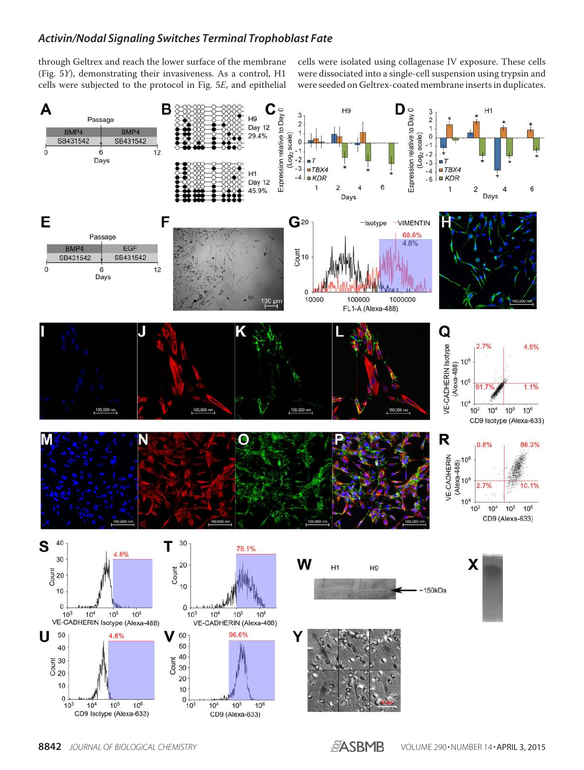through Geltrex and reach the lower surface of the membrane (Fig. 5Y), demonstrating their invasiveness. As a control, H1 cells were subjected to the protocol in Fig. 5E, and epithelial cells were isolated using collagenase IV exposure. These cells were dissociated into a single-cell suspension using trypsin and were seeded on Geltrex-coated membrane inserts in duplicates.



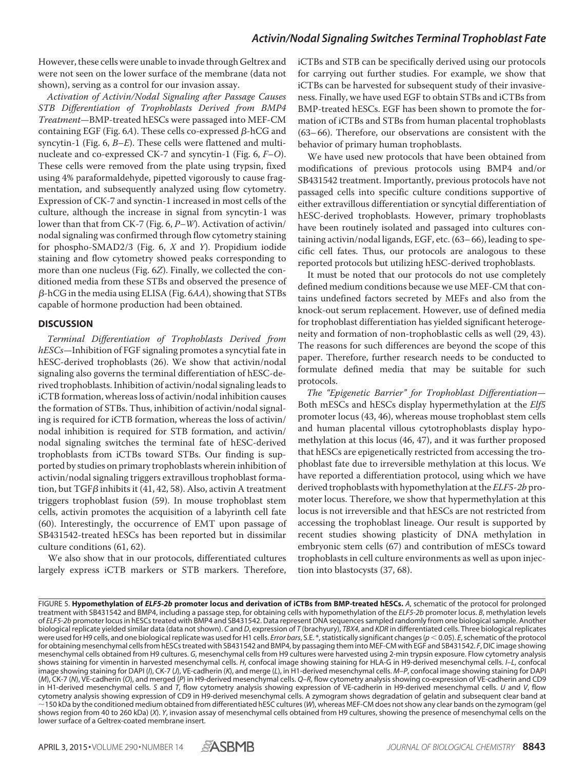However, these cells were unable to invade through Geltrex and were not seen on the lower surface of the membrane (data not shown), serving as a control for our invasion assay.

Activation of Activin/Nodal Signaling after Passage Causes STB Differentiation of Trophoblasts Derived from BMP4 Treatment—BMP-treated hESCs were passaged into MEF-CM containing EGF (Fig. 6A). These cells co-expressed  $\beta$ -hCG and syncytin-1 (Fig. 6, B–E). These cells were flattened and multinucleate and co-expressed CK-7 and syncytin-1 (Fig. 6, F–O). These cells were removed from the plate using trypsin, fixed using 4% paraformaldehyde, pipetted vigorously to cause fragmentation, and subsequently analyzed using flow cytometry. Expression of CK-7 and synctin-1 increased in most cells of the culture, although the increase in signal from syncytin-1 was lower than that from CK-7 (Fig. 6, P–W). Activation of activin/ nodal signaling was confirmed through flow cytometry staining for phospho-SMAD2/3 (Fig. 6, X and Y). Propidium iodide staining and flow cytometry showed peaks corresponding to more than one nucleus (Fig. 6Z). Finally, we collected the conditioned media from these STBs and observed the presence of  $\beta$ -hCG in the media using ELISA (Fig. 6AA), showing that STBs capable of hormone production had been obtained.

#### **DISCUSSION**

Terminal Differentiation of Trophoblasts Derived from hESCs—Inhibition of FGF signaling promotes a syncytial fate in hESC-derived trophoblasts (26). We show that activin/nodal signaling also governs the terminal differentiation of hESC-derived trophoblasts. Inhibition of activin/nodal signaling leads to iCTB formation, whereas loss of activin/nodal inhibition causes the formation of STBs. Thus, inhibition of activin/nodal signaling is required for iCTB formation, whereas the loss of activin/ nodal inhibition is required for STB formation, and activin/ nodal signaling switches the terminal fate of hESC-derived trophoblasts from iCTBs toward STBs. Our finding is supported by studies on primary trophoblasts wherein inhibition of activin/nodal signaling triggers extravillous trophoblast formation, but TGF $\beta$  inhibits it (41, 42, 58). Also, activin A treatment triggers trophoblast fusion (59). In mouse trophoblast stem cells, activin promotes the acquisition of a labyrinth cell fate (60). Interestingly, the occurrence of EMT upon passage of SB431542-treated hESCs has been reported but in dissimilar culture conditions (61, 62).

We also show that in our protocols, differentiated cultures largely express iCTB markers or STB markers. Therefore,

iCTBs and STB can be specifically derived using our protocols for carrying out further studies. For example, we show that iCTBs can be harvested for subsequent study of their invasiveness. Finally, we have used EGF to obtain STBs and iCTBs from BMP-treated hESCs. EGF has been shown to promote the formation of iCTBs and STBs from human placental trophoblasts (63– 66). Therefore, our observations are consistent with the behavior of primary human trophoblasts.

We have used new protocols that have been obtained from modifications of previous protocols using BMP4 and/or SB431542 treatment. Importantly, previous protocols have not passaged cells into specific culture conditions supportive of either extravillous differentiation or syncytial differentiation of hESC-derived trophoblasts. However, primary trophoblasts have been routinely isolated and passaged into cultures containing activin/nodal ligands, EGF, etc. (63– 66), leading to specific cell fates. Thus, our protocols are analogous to these reported protocols but utilizing hESC-derived trophoblasts.

It must be noted that our protocols do not use completely defined medium conditions because we use MEF-CM that contains undefined factors secreted by MEFs and also from the knock-out serum replacement. However, use of defined media for trophoblast differentiation has yielded significant heterogeneity and formation of non-trophoblastic cells as well (29, 43). The reasons for such differences are beyond the scope of this paper. Therefore, further research needs to be conducted to formulate defined media that may be suitable for such protocols.

The "Epigenetic Barrier" for Trophoblast Differentiation— Both mESCs and hESCs display hypermethylation at the *ElfS* promoter locus (43, 46), whereas mouse trophoblast stem cells and human placental villous cytotrophoblasts display hypomethylation at this locus (46, 47), and it was further proposed that hESCs are epigenetically restricted from accessing the trophoblast fate due to irreversible methylation at this locus. We have reported a differentiation protocol, using which we have derived trophoblasts with hypomethylation at the ELF5-2b promoter locus. Therefore, we show that hypermethylation at this locus is not irreversible and that hESCs are not restricted from accessing the trophoblast lineage. Our result is supported by recent studies showing plasticity of DNA methylation in embryonic stem cells (67) and contribution of mESCs toward trophoblasts in cell culture environments as well as upon injection into blastocysts (37, 68).

FIGURE 5. **Hypomethylation of** *ELF5***-***2b* **promoter locus and derivation of iCTBs from BMP-treated hESCs.** *A*, schematic of the protocol for prolonged treatment with SB431542 and BMP4, including a passage step, for obtaining cells with hypomethylation of the *ELF5*-*2b* promoter locus. *B*, methylation levels of *ELF5*-*2b* promoter locus in hESCs treated with BMP4 and SB431542. Data represent DNA sequences sampled randomly from one biological sample. Another biological replicate yielded similar data (data not shown). *C* and *D*, expression of *T* (brachyury), *TBX4*, and *KDR* in differentiated cells. Three biological replicates were used for H9 cells, and one biological replicate was used for H1 cells. *Error bars*, S.E. \*, statistically significant changes (*p* < 0.05). *E*, schematic of the protocol for obtaining mesenchymal cells from hESCs treated with SB431542 and BMP4, by passaging them into MEF-CM with EGF and SB431542. *F*, DIC image showing mesenchymal cells obtained from H9 cultures. *G*, mesenchymal cells from H9 cultures were harvested using 2-min trypsin exposure. Flow cytometry analysis shows staining for vimentin in harvested mesenchymal cells. *H*, confocal image showing staining for HLA-G in H9-derived mesenchymal cells. *I*–*L*, confocal image showing staining for DAPI (*I*), CK-7 (*J*), VE-cadherin (*K*), and merge (*L*), in H1-derived mesenchymal cells. *M*–*P*, confocal image showing staining for DAPI (*M*), CK-7 (*N*), VE-cadherin (*O*), and merged (*P*) in H9-derived mesenchymal cells. *Q*–*R*, flow cytometry analysis showing co-expression of VE-cadherin and CD9 in H1-derived mesenchymal cells. *S* and *T*, flow cytometry analysis showing expression of VE-cadherin in H9-derived mesenchymal cells. *U* and *V*, flow cytometry analysis showing expression of CD9 in H9-derived mesenchymal cells. A zymogram shows degradation of gelatin and subsequent clear band at -150 kDa by the conditioned medium obtained from differentiated hESC cultures (*W*), whereas MEF-CM does not show any clear bands on the zymogram (gel shows region from 40 to 260 kDa) (*X*). *Y*, invasion assay of mesenchymal cells obtained from H9 cultures, showing the presence of mesenchymal cells on the lower surface of a Geltrex-coated membrane insert.

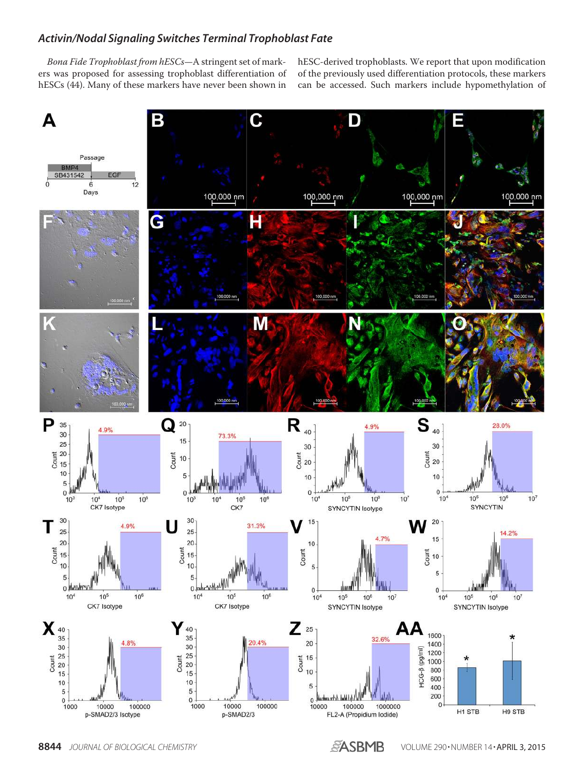Bona Fide Trophoblast from hESCs—A stringent set of markers was proposed for assessing trophoblast differentiation of hESCs (44). Many of these markers have never been shown in

hESC-derived trophoblasts. We report that upon modification of the previously used differentiation protocols, these markers can be accessed. Such markers include hypomethylation of



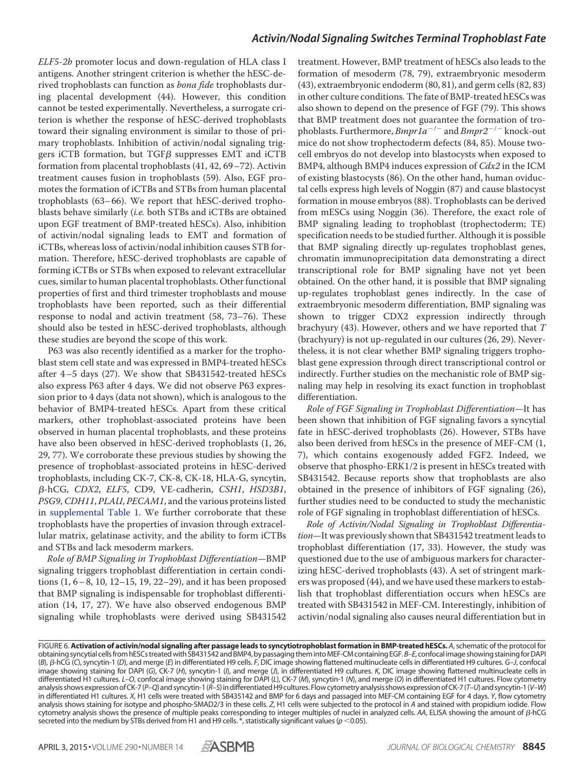ELF5-2b promoter locus and down-regulation of HLA class I antigens. Another stringent criterion is whether the hESC-derived trophoblasts can function as bona fide trophoblasts during placental development (44). However, this condition cannot be tested experimentally. Nevertheless, a surrogate criterion is whether the response of hESC-derived trophoblasts toward their signaling environment is similar to those of primary trophoblasts. Inhibition of activin/nodal signaling triggers iCTB formation, but TGF $\beta$  suppresses EMT and iCTB formation from placental trophoblasts (41, 42, 69–72). Activin treatment causes fusion in trophoblasts (59). Also, EGF promotes the formation of iCTBs and STBs from human placental trophoblasts (63– 66). We report that hESC-derived trophoblasts behave similarly (i.e. both STBs and iCTBs are obtained upon EGF treatment of BMP-treated hESCs). Also, inhibition of activin/nodal signaling leads to EMT and formation of iCTBs, whereas loss of activin/nodal inhibition causes STB formation. Therefore, hESC-derived trophoblasts are capable of forming iCTBs or STBs when exposed to relevant extracellular cues, similar to human placental trophoblasts. Other functional properties of first and third trimester trophoblasts and mouse trophoblasts have been reported, such as their differential response to nodal and activin treatment (58, 73–76). These should also be tested in hESC-derived trophoblasts, although these studies are beyond the scope of this work.

P63 was also recently identified as a marker for the trophoblast stem cell state and was expressed in BMP4-treated hESCs after 4–5 days (27). We show that SB431542-treated hESCs also express P63 after 4 days. We did not observe P63 expression prior to 4 days (data not shown), which is analogous to the behavior of BMP4-treated hESCs. Apart from these critical markers, other trophoblast-associated proteins have been observed in human placental trophoblasts, and these proteins have also been observed in hESC-derived trophoblasts (1, 26, 29, 77). We corroborate these previous studies by showing the presence of trophoblast-associated proteins in hESC-derived trophoblasts, including CK-7, CK-8, CK-18, HLA-G, syncytin, --hCG, CDX2, ELF5, CD9, VE-cadherin, CSH1, HSD3B1, PSG9, CDH11, PLAU, PECAM1, and the various proteins listed in supplemental Table 1. We further corroborate that these trophoblasts have the properties of invasion through extracellular matrix, gelatinase activity, and the ability to form iCTBs and STBs and lack mesoderm markers.

Role of BMP Signaling in Trophoblast Differentiation—BMP signaling triggers trophoblast differentiation in certain conditions (1, 6– 8, 10, 12–15, 19, 22–29), and it has been proposed that BMP signaling is indispensable for trophoblast differentiation (14, 17, 27). We have also observed endogenous BMP signaling while trophoblasts were derived using SB431542 treatment. However, BMP treatment of hESCs also leads to the formation of mesoderm (78, 79), extraembryonic mesoderm (43), extraembryonic endoderm (80, 81), and germ cells (82, 83) in other culture conditions. The fate of BMP-treated hESCs was also shown to depend on the presence of FGF (79). This shows that BMP treatment does not guarantee the formation of trophoblasts. Furthermore,  $Bmpr1a^{-/-}$  and  $Bmpr2^{-/-}$  knock-out mice do not show trophectoderm defects (84, 85). Mouse twocell embryos do not develop into blastocysts when exposed to BMP4, although BMP4 induces expression of Cdx2 in the ICM of existing blastocysts (86). On the other hand, human oviductal cells express high levels of Noggin (87) and cause blastocyst formation in mouse embryos (88). Trophoblasts can be derived from mESCs using Noggin (36). Therefore, the exact role of BMP signaling leading to trophoblast (trophectoderm; TE) specification needs to be studied further. Although it is possible that BMP signaling directly up-regulates trophoblast genes, chromatin immunoprecipitation data demonstrating a direct transcriptional role for BMP signaling have not yet been obtained. On the other hand, it is possible that BMP signaling up-regulates trophoblast genes indirectly. In the case of extraembryonic mesoderm differentiation, BMP signaling was shown to trigger CDX2 expression indirectly through brachyury (43). However, others and we have reported that T (brachyury) is not up-regulated in our cultures (26, 29). Nevertheless, it is not clear whether BMP signaling triggers trophoblast gene expression through direct transcriptional control or indirectly. Further studies on the mechanistic role of BMP signaling may help in resolving its exact function in trophoblast differentiation.

Role of FGF Signaling in Trophoblast Differentiation—It has been shown that inhibition of FGF signaling favors a syncytial fate in hESC-derived trophoblasts (26). However, STBs have also been derived from hESCs in the presence of MEF-CM (1, 7), which contains exogenously added FGF2. Indeed, we observe that phospho-ERK1/2 is present in hESCs treated with SB431542. Because reports show that trophoblasts are also obtained in the presence of inhibitors of FGF signaling (26), further studies need to be conducted to study the mechanistic role of FGF signaling in trophoblast differentiation of hESCs.

Role of Activin/Nodal Signaling in Trophoblast Differentiation—It was previously shown that SB431542 treatment leads to trophoblast differentiation (17, 33). However, the study was questioned due to the use of ambiguous markers for characterizing hESC-derived trophoblasts (43). A set of stringent markers was proposed (44), and we have used these markers to establish that trophoblast differentiation occurs when hESCs are treated with SB431542 in MEF-CM. Interestingly, inhibition of activin/nodal signaling also causes neural differentiation but in

FIGURE 6. **Activation of activin/nodal signaling after passage leads to syncytiotrophoblast formation in BMP-treated hESCs.** *A*, schematic of the protocol for obtaining syncytial cells from hESCs treated with SB431542 and BMP4, by passaging them into MEF-CM containing EGF.*B*–*E*, confocal image showing staining for DAPI (*B*), --hCG (*C*), syncytin-1 (*D*), and merge (*E*) in differentiated H9 cells. *F*, DIC image showing flattened multinucleate cells in differentiated H9 cultures. *G*–*J*, confocal image showing staining for DAPI (*G*), CK-7 (*H*), syncytin-1 (*I*), and merge (*J*), in differentiated H9 cultures. *K*, DIC image showing flattened multinucleate cells in differentiated H1 cultures. *L*–*O*, confocal image showing staining for DAPI (*L*), CK-7 (*M*), syncytin-1 (*N*), and merge (*O*) in differentiated H1 cultures. Flow cytometry analysis shows expression of CK-7 (*P*–*Q*) and syncytin-1 (*R*–*S*) in differentiated H9 cultures. Flow cytometry analysis shows expression of CK-7 (*T*–*U*) and syncytin-1 (*V*–*W*) in differentiated H1 cultures. *X*, H1 cells were treated with SB435142 and BMP for 6 days and passaged into MEF-CM containing EGF for 4 days. *Y*, flow cytometry analysis shows staining for isotype and phospho-SMAD2/3 in these cells. *Z*, H1 cells were subjected to the protocol in *A* and stained with propidium iodide. Flow cytometry analysis shows the presence of multiple peaks corresponding to integer multiples of nuclei in analyzed cells. AA, ELISA showing the amount of  $\beta$ -hCG secreted into the medium by STBs derived from H1 and H9 cells.  $*$ , statistically significant values ( $p$  < 0.05).

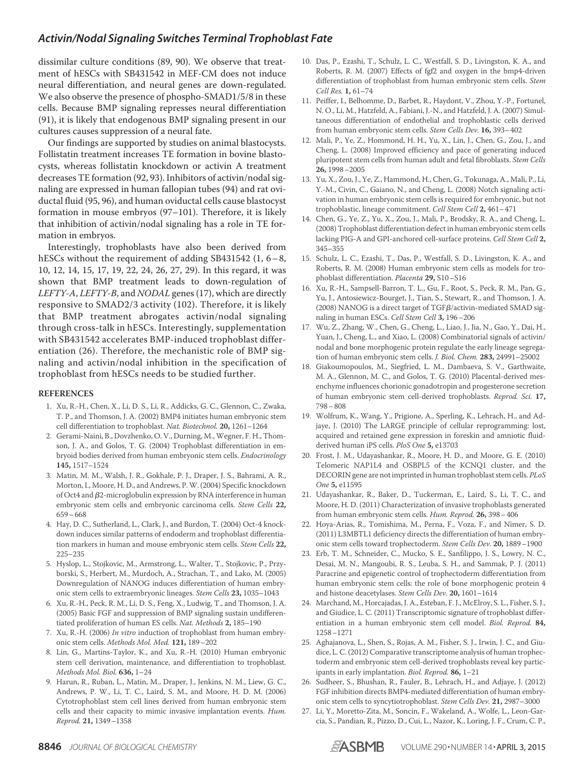dissimilar culture conditions (89, 90). We observe that treatment of hESCs with SB431542 in MEF-CM does not induce neural differentiation, and neural genes are down-regulated. We also observe the presence of phospho-SMAD1/5/8 in these cells. Because BMP signaling represses neural differentiation (91), it is likely that endogenous BMP signaling present in our cultures causes suppression of a neural fate.

Our findings are supported by studies on animal blastocysts. Follistatin treatment increases TE formation in bovine blastocysts, whereas follistatin knockdown or activin A treatment decreases TE formation (92, 93). Inhibitors of activin/nodal signaling are expressed in human fallopian tubes (94) and rat oviductal fluid (95, 96), and human oviductal cells cause blastocyst formation in mouse embryos (97–101). Therefore, it is likely that inhibition of activin/nodal signaling has a role in TE formation in embryos.

Interestingly, trophoblasts have also been derived from hESCs without the requirement of adding SB431542  $(1, 6-8, 6)$ 10, 12, 14, 15, 17, 19, 22, 24, 26, 27, 29). In this regard, it was shown that BMP treatment leads to down-regulation of LEFTY-A, LEFTY-B, and NODAL genes (17), which are directly responsive to SMAD2/3 activity (102). Therefore, it is likely that BMP treatment abrogates activin/nodal signaling through cross-talk in hESCs. Interestingly, supplementation with SB431542 accelerates BMP-induced trophoblast differentiation (26). Therefore, the mechanistic role of BMP signaling and activin/nodal inhibition in the specification of trophoblast from hESCs needs to be studied further.

#### **REFERENCES**

- 1. Xu, R.-H., Chen, X., Li, D. S., Li, R., Addicks, G. C., Glennon, C., Zwaka, T. P., and Thomson, J. A. (2002) BMP4 initiates human embryonic stem cell differentiation to trophoblast. Nat. Biotechnol. **20,** 1261–1264
- 2. Gerami-Naini, B., Dovzhenko, O. V., Durning, M., Wegner, F. H., Thomson, J. A., and Golos, T. G. (2004) Trophoblast differentiation in embryoid bodies derived from human embryonic stem cells. Endocrinology **145,** 1517–1524
- 3. Matin, M. M., Walsh, J. R., Gokhale, P. J., Draper, J. S., Bahrami, A. R., Morton, I., Moore, H. D., and Andrews, P.W. (2004) Specific knockdown of Oct4 and  $\beta$ 2-microglobulin expression by RNA interference in human embryonic stem cells and embryonic carcinoma cells. Stem Cells **22,** 659–668
- 4. Hay, D. C., Sutherland, L., Clark, J., and Burdon, T. (2004) Oct-4 knockdown induces similar patterns of endoderm and trophoblast differentiation markers in human and mouse embryonic stem cells. Stem Cells **22,** 225–235
- 5. Hyslop, L., Stojkovic, M., Armstrong, L., Walter, T., Stojkovic, P., Przyborski, S., Herbert, M., Murdoch, A., Strachan, T., and Lako, M. (2005) Downregulation of NANOG induces differentiation of human embryonic stem cells to extraembryonic lineages. Stem Cells **23,** 1035–1043
- 6. Xu, R.-H., Peck, R. M., Li, D. S., Feng, X., Ludwig, T., and Thomson, J. A. (2005) Basic FGF and suppression of BMP signaling sustain undifferentiated proliferation of human ES cells. Nat. Methods **2,** 185–190
- 7. Xu, R.-H. (2006) In vitro induction of trophoblast from human embryonic stem cells. Methods Mol. Med. **121,** 189–202
- 8. Lin, G., Martins-Taylor, K., and Xu, R.-H. (2010) Human embryonic stem cell derivation, maintenance, and differentiation to trophoblast. Methods Mol. Biol. **636,** 1–24
- 9. Harun, R., Ruban, L., Matin, M., Draper, J., Jenkins, N. M., Liew, G. C., Andrews, P. W., Li, T. C., Laird, S. M., and Moore, H. D. M. (2006) Cytotrophoblast stem cell lines derived from human embryonic stem cells and their capacity to mimic invasive implantation events. Hum. Reprod. **21,** 1349–1358
- 10. Das, P., Ezashi, T., Schulz, L. C., Westfall, S. D., Livingston, K. A., and Roberts, R. M. (2007) Effects of fgf2 and oxygen in the bmp4-driven differentiation of trophoblast from human embryonic stem cells. Stem Cell Res. **1,** 61–74
- 11. Peiffer, I., Belhomme, D., Barbet, R., Haydont, V., Zhou, Y.-P., Fortunel, N. O., Li, M., Hatzfeld, A., Fabiani, J.-N., and Hatzfeld, J. A. (2007) Simultaneous differentiation of endothelial and trophoblastic cells derived from human embryonic stem cells. Stem Cells Dev. **16,** 393–402
- 12. Mali, P., Ye, Z., Hommond, H. H., Yu, X., Lin, J., Chen, G., Zou, J., and Cheng, L. (2008) Improved efficiency and pace of generating induced pluripotent stem cells from human adult and fetal fibroblasts. Stem Cells **26,** 1998–2005
- 13. Yu, X., Zou, J., Ye, Z., Hammond, H., Chen, G., Tokunaga, A., Mali, P., Li, Y.-M., Civin, C., Gaiano, N., and Cheng, L. (2008) Notch signaling activation in human embryonic stem cells is required for embryonic, but not trophoblastic, lineage commitment. Cell Stem Cell **2,** 461–471
- 14. Chen, G., Ye, Z., Yu, X., Zou, J., Mali, P., Brodsky, R. A., and Cheng, L. (2008) Trophoblast differentiation defect in human embryonic stem cells lacking PIG-A and GPI-anchored cell-surface proteins. Cell Stem Cell **2,** 345–355
- 15. Schulz, L. C., Ezashi, T., Das, P., Westfall, S. D., Livingston, K. A., and Roberts, R. M. (2008) Human embryonic stem cells as models for trophoblast differentiation. Placenta **29,** S10–S16
- 16. Xu, R.-H., Sampsell-Barron, T. L., Gu, F., Root, S., Peck, R. M., Pan, G., Yu, J., Antosiewicz-Bourget, J., Tian, S., Stewart, R., and Thomson, J. A. (2008) NANOG is a direct target of  $TGF\beta$ /activin-mediated SMAD signaling in human ESCs. Cell Stem Cell **3,** 196–206
- 17. Wu, Z., Zhang, W., Chen, G., Cheng, L., Liao, J., Jia, N., Gao, Y., Dai, H., Yuan, J., Cheng, L., and Xiao, L. (2008) Combinatorial signals of activin/ nodal and bone morphogenic protein regulate the early lineage segregation of human embryonic stem cells. J. Biol. Chem. **283,** 24991–25002
- 18. Giakoumopoulos, M., Siegfried, L. M., Dambaeva, S. V., Garthwaite, M. A., Glennon, M. C., and Golos, T. G. (2010) Placental-derived mesenchyme influences chorionic gonadotropin and progesterone secretion of human embryonic stem cell-derived trophoblasts. Reprod. Sci. **17,** 798–808
- 19. Wolfrum, K., Wang, Y., Prigione, A., Sperling, K., Lehrach, H., and Adjaye, J. (2010) The LARGE principle of cellular reprogramming: lost, acquired and retained gene expression in foreskin and amniotic fluidderived human iPS cells. PloS One **5,** e13703
- 20. Frost, J. M., Udayashankar, R., Moore, H. D., and Moore, G. E. (2010) Telomeric NAP1L4 and OSBPL5 of the KCNQ1 cluster, and the DECORIN gene are not imprinted in human trophoblast stem cells. PLoS One **5,** e11595
- 21. Udayashankar, R., Baker, D., Tuckerman, E., Laird, S., Li, T. C., and Moore, H. D. (2011) Characterization of invasive trophoblasts generated from human embryonic stem cells. Hum. Reprod. **26,** 398–406
- 22. Hoya-Arias, R., Tomishima, M., Perna, F., Voza, F., and Nimer, S. D. (2011) L3MBTL1 deficiency directs the differentiation of human embryonic stem cells toward trophectoderm. Stem Cells Dev. **20,** 1889–1900
- 23. Erb, T. M., Schneider, C., Mucko, S. E., Sanfilippo, J. S., Lowry, N. C., Desai, M. N., Mangoubi, R. S., Leuba, S. H., and Sammak, P. J. (2011) Paracrine and epigenetic control of trophectoderm differentiation from human embryonic stem cells: the role of bone morphogenic protein 4 and histone deacetylases. Stem Cells Dev. **20,** 1601–1614
- 24. Marchand, M., Horcajadas, J. A., Esteban, F. J., McElroy, S. L., Fisher, S. J., and Giudice, L. C. (2011) Transcriptomic signature of trophoblast differentiation in a human embryonic stem cell model. Biol. Reprod. **84,** 1258–1271
- 25. Aghajanova, L., Shen, S., Rojas, A. M., Fisher, S. J., Irwin, J. C., and Giudice, L. C. (2012) Comparative transcriptome analysis of human trophectoderm and embryonic stem cell-derived trophoblasts reveal key participants in early implantation. Biol. Reprod. **86,** 1–21
- 26. Sudheer, S., Bhushan, R., Fauler, B., Lehrach, H., and Adjaye, J. (2012) FGF inhibition directs BMP4-mediated differentiation of human embryonic stem cells to syncytiotrophoblast. Stem Cells Dev. **21,** 2987–3000
- 27. Li, Y., Moretto-Zita, M., Soncin, F., Wakeland, A., Wolfe, L., Leon-Garcia, S., Pandian, R., Pizzo, D., Cui, L., Nazor, K., Loring, J. F., Crum, C. P.,

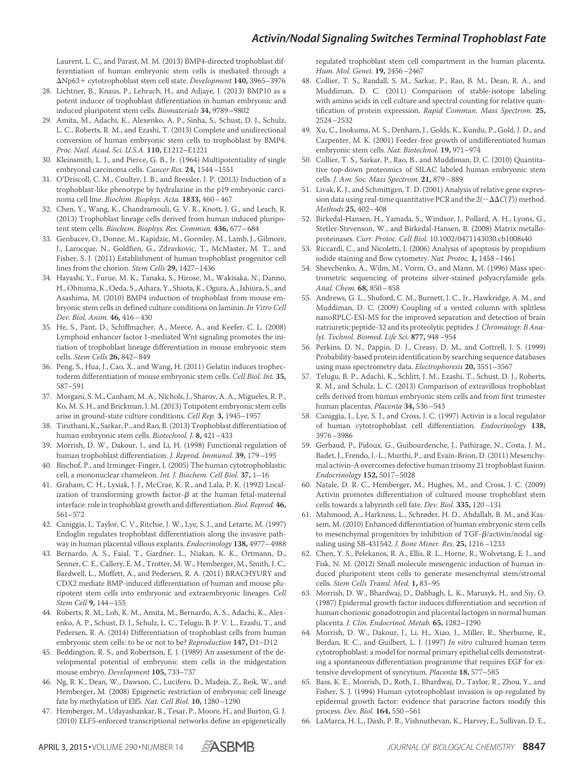Laurent, L. C., and Parast, M. M. (2013) BMP4-directed trophoblast differentiation of human embryonic stem cells is mediated through a Np63 cytotrophoblast stem cell state. Development **140,** 3965–3976

- 28. Lichtner, B., Knaus, P., Lehrach, H., and Adjaye, J. (2013) BMP10 as a potent inducer of trophoblast differentiation in human embryonic and induced pluripotent stem cells. Biomaterials **34,** 9789–9802
- 29. Amita, M., Adachi, K., Alexenko, A. P., Sinha, S., Schust, D. J., Schulz, L. C., Roberts, R. M., and Ezashi, T. (2013) Complete and unidirectional conversion of human embryonic stem cells to trophoblast by BMP4. Proc. Natl. Acad. Sci. U.S.A. **110,** E1212–E1221
- 30. Kleinsmith, L. J., and Pierce, G. B., Jr. (1964) Multipotentiality of single embryonal carcinoma cells. Cancer Res. **24,** 1544–1551
- 31. O'Driscoll, C. M., Coulter, J. B., and Bressler, J. P. (2013) Induction of a trophoblast-like phenotype by hydralazine in the p19 embryonic carcinoma cell line. Biochim. Biophys. Acta. **1833,** 460–467
- 32. Chen, Y., Wang, K., Chandramouli, G. V. R., Knott, J. G., and Leach, R. (2013) Trophoblast lineage cells derived from human induced pluripotent stem cells. Biochem. Biophys. Res. Commun. **436,** 677–684
- 33. Genbacev, O., Donne, M., Kapidzic, M., Gormley, M., Lamb, J., Gilmore, J., Larocque, N., Goldfien, G., Zdravkovic, T., McMaster, M. T., and Fisher, S. J. (2011) Establishment of human trophoblast progenitor cell lines from the chorion. Stem Cells **29,** 1427–1436
- 34. Hayashi, Y., Furue, M. K., Tanaka, S., Hirose, M., Wakisaka, N., Danno, H., Ohnuma, K., Oeda, S., Aihara, Y., Shiota, K., Ogura, A., Ishiura, S., and Asashima, M. (2010) BMP4 induction of trophoblast from mouse embryonic stem cells in defined culture conditions on laminin. In Vitro Cell Dev. Biol. Anim. **46,** 416–430
- 35. He, S., Pant, D., Schiffmacher, A., Meece, A., and Keefer, C. L. (2008) Lymphoid enhancer factor 1-mediated Wnt signaling promotes the initiation of trophoblast lineage differentiation in mouse embryonic stem cells. Stem Cells **26,** 842–849
- 36. Peng, S., Hua, J., Cao, X., and Wang, H. (2011) Gelatin induces trophectoderm differentiation of mouse embryonic stem cells. Cell Biol. Int. **35,** 587–591
- 37. Morgani, S. M., Canham, M. A., Nichols, J., Sharov, A. A., Migueles, R. P., Ko, M. S. H., and Brickman, J. M. (2013) Totipotent embryonic stem cells arise in ground-state culture conditions. Cell Rep. **3,** 1945–1957
- 38. Tiruthani, K., Sarkar, P., and Rao, B. (2013) Trophoblast differentiation of human embryonic stem cells. Biotechnol. J. **8,** 421–433
- 39. Morrish, D. W., Dakour, J., and Li, H. (1998) Functional regulation of human trophoblast differentiation. J. Reprod. Immunol. **39,** 179–195
- 40. Bischof, P., and Irminger-Finger, I. (2005) The human cytotrophoblastic cell, a mononuclear chameleon. Int. J. Biochem. Cell Biol. **37,** 1–16
- 41. Graham, C. H., Lysiak, J. J., McCrae, K. R., and Lala, P. K. (1992) Localization of transforming growth factor- $\beta$  at the human fetal-maternal interface: role in trophoblast growth and differentiation. Biol. Reprod. **46,** 561–572
- 42. Caniggia, I., Taylor, C. V., Ritchie, J. W., Lye, S. J., and Letarte, M. (1997) Endoglin regulates trophoblast differentiation along the invasive pathway in human placental villous explants. Endocrinology **138,** 4977–4988
- 43. Bernardo, A. S., Faial, T., Gardner, L., Niakan, K. K., Ortmann, D., Senner, C. E., Callery, E. M., Trotter, M. W., Hemberger, M., Smith, J. C., Bardwell, L., Moffett, A., and Pedersen, R. A. (2011) BRACHYURY and CDX2 mediate BMP-induced differentiation of human and mouse pluripotent stem cells into embryonic and extraembryonic lineages. Cell Stem Cell **9,** 144–155
- 44. Roberts, R. M., Loh, K. M., Amita, M., Bernardo, A. S., Adachi, K., Alexenko, A. P., Schust, D. J., Schulz, L. C., Telugu, B. P. V. L., Ezashi, T., and Pedersen, R. A. (2014) Differentiation of trophoblast cells from human embryonic stem cells: to be or not to be? Reproduction **147,** D1–D12
- 45. Beddington, R. S., and Robertson, E. J. (1989) An assessment of the developmental potential of embryonic stem cells in the midgestation mouse embryo. Development **105,** 733–737
- 46. Ng, R. K., Dean, W., Dawson, C., Lucifero, D., Madeja, Z., Reik, W., and Hemberger, M. (2008) Epigenetic restriction of embryonic cell lineage fate by methylation of Elf5. Nat. Cell Biol. **10,** 1280–1290
- 47. Hemberger, M., Udayashankar, R., Tesar, P., Moore, H., and Burton, G. J. (2010) ELF5-enforced transcriptional networks define an epigenetically

regulated trophoblast stem cell compartment in the human placenta. Hum. Mol. Genet. **19,** 2456–2467

- 48. Collier, T. S., Randall, S. M., Sarkar, P., Rao, B. M., Dean, R. A., and Muddiman, D. C. (2011) Comparison of stable-isotope labeling with amino acids in cell culture and spectral counting for relative quantification of protein expression. Rapid Commun. Mass Spectrom. **25,** 2524–2532
- 49. Xu, C., Inokuma, M. S., Denham, J., Golds, K., Kundu, P., Gold, J. D., and Carpenter, M. K. (2001) Feeder-free growth of undifferentiated human embryonic stem cells. Nat. Biotechnol. **19,** 971–974
- 50. Collier, T. S., Sarkar, P., Rao, B., and Muddiman, D. C. (2010) Quantitative top-down proteomics of SILAC labeled human embryonic stem cells. J. Am. Soc. Mass Spectrom. **21,** 879–889
- 51. Livak, K. J., and Schmittgen, T. D. (2001) Analysis of relative gene expression data using real-time quantitative PCR and the  $2(-\Delta\Delta C(T))$  method. Methods **25,** 402–408
- 52. Birkedal-Hansen, H., Yamada, S., Windsor, J., Pollard, A. H., Lyons, G., Stetler-Stevenson, W., and Birkedal-Hansen, B. (2008) Matrix metalloproteinases. Curr. Protoc. Cell Biol. 10.1002/0471143030.cb1008s40
- 53. Riccardi, C., and Nicoletti, I. (2006) Analysis of apoptosis by propidium iodide staining and flow cytometry. Nat. Protoc. **1,** 1458–1461
- 54. Shevchenko, A., Wilm, M., Vorm, O., and Mann, M. (1996) Mass spectrometric sequencing of proteins silver-stained polyacrylamide gels. Anal. Chem. **68,** 850–858
- 55. Andrews, G. L., Shuford, C. M., Burnett, J. C., Jr., Hawkridge, A. M., and Muddiman, D. C. (2009) Coupling of a vented column with splitless nanoRPLC-ESI-MS for the improved separation and detection of brain natriuretic peptide-32 and its proteolytic peptides. J. Chromatogr. B Analyt. Technol. Biomed. Life Sci. **877,** 948–954
- 56. Perkins, D. N., Pappin, D. J., Creasy, D. M., and Cottrell, J. S. (1999) Probability-based protein identification by searching sequence databases using mass spectrometry data. Electrophoresis **20,** 3551–3567
- 57. Telugu, B. P., Adachi, K., Schlitt, J. M., Ezashi, T., Schust, D. J., Roberts, R. M., and Schulz, L. C. (2013) Comparison of extravillous trophoblast cells derived from human embryonic stem cells and from first trimester human placentas. Placenta **34,** 536–543
- 58. Caniggia, I., Lye, S. J., and Cross, J. C. (1997) Activin is a local regulator of human cytotrophoblast cell differentiation. Endocrinology **138,** 3976–3986
- 59. Gerbaud, P., Pidoux, G., Guibourdenche, J., Pathirage, N., Costa, J. M., Badet, J., Frendo, J.-L., Murthi, P., and Evain-Brion, D. (2011) Mesenchymal activin-A overcomes defective human trisomy 21 trophoblast fusion. Endocrinology **152,** 5017–5028
- 60. Natale, D. R. C., Hemberger, M., Hughes, M., and Cross, J. C. (2009) Activin promotes differentiation of cultured mouse trophoblast stem cells towards a labyrinth cell fate. Dev. Biol. **335,** 120–131
- 61. Mahmood, A., Harkness, L., Schrøder, H. D., Abdallah, B. M., and Kassem, M. (2010) Enhanced differentiation of human embryonic stem cells to mesenchymal progenitors by inhibition of TGF- $\beta$ /activin/nodal signaling using SB-431542. J. Bone Miner. Res. **25,** 1216–1233
- 62. Chen, Y. S., Pelekanos, R. A., Ellis, R. L., Horne, R., Wolvetang, E. J., and Fisk, N. M. (2012) Small molecule mesengenic induction of human induced pluripotent stem cells to generate mesenchymal stem/stromal cells. Stem Cells Transl. Med. **1,** 83–95
- 63. Morrish, D. W., Bhardwaj, D., Dabbagh, L. K., Marusyk, H., and Siy, O. (1987) Epidermal growth factor induces differentiation and secretion of human chorionic gonadotropin and placental lactogen in normal human placenta. J. Clin. Endocrinol. Metab. **65,** 1282–1290
- 64. Morrish, D. W., Dakour, J., Li, H., Xiao, J., Miller, R., Sherburne, R., Berdan, R. C., and Guilbert, L. J. (1997) In vitro cultured human term cytotrophoblast: a model for normal primary epithelial cells demonstrating a spontaneous differentiation programme that requires EGF for extensive development of syncytium. Placenta **18,** 577–585
- 65. Bass, K. E., Morrish, D., Roth, I., Bhardwaj, D., Taylor, R., Zhou, Y., and Fisher, S. J. (1994) Human cytotrophoblast invasion is up-regulated by epidermal growth factor: evidence that paracrine factors modify this process. Dev. Biol. **164,** 550–561
- 66. LaMarca, H. L., Dash, P. R., Vishnuthevan, K., Harvey, E., Sullivan, D. E.,